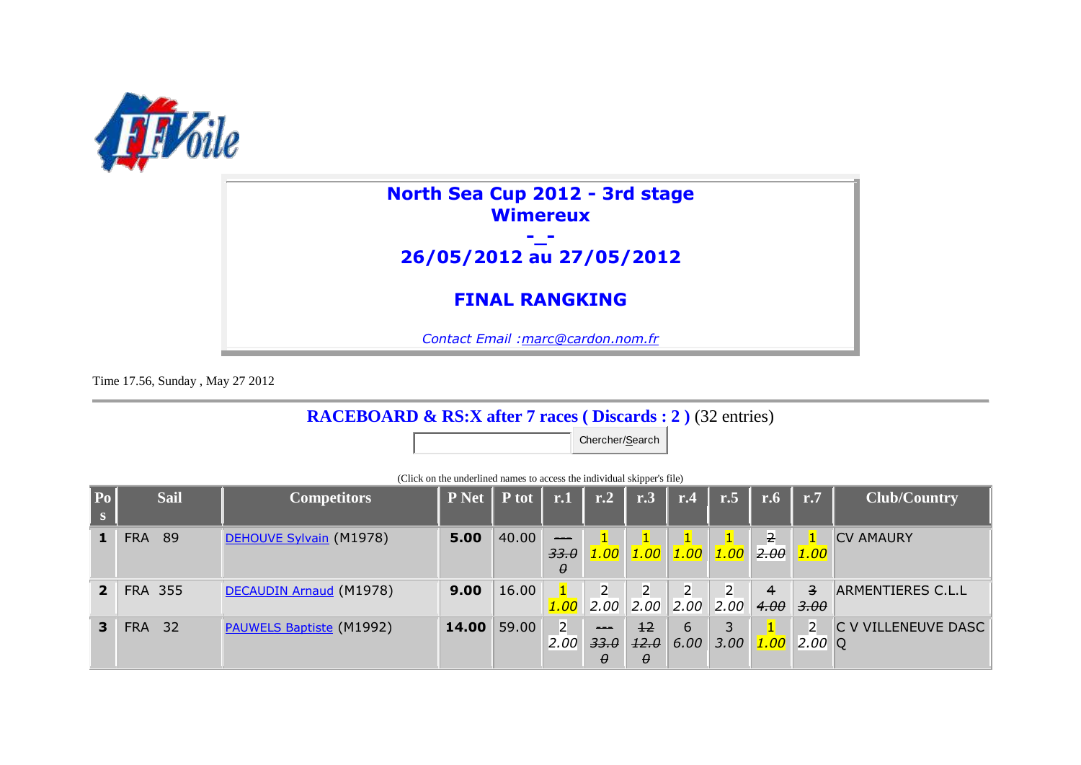

## **North Sea Cup 2012 - 3rd stage Wimereux**

## **-\_- 26/05/2012 au 27/05/2012**

## **FINAL RANGKING**

*Contact Email :marc@cardon.nom.fr*

Time 17.56, Sunday , May 27 2012

**RACEBOARD & RS:X after 7 races ( Discards : 2 )** (32 entries)

Chercher/Search

| $ P_0 $<br>$\mathbf{s}$ | <b>Sail</b>    | <b>Competitors</b>              | $\mathbf{P}$ Net   P tot |       | r.1                              | $\vert$ r.2                                                                                                                                                                                                                                                                                                                                                                                                                                                                                    | r.3                                 | r.4            | r.5                                                  | r.6                    | $\vert$ r.7                 | Club/Country               |
|-------------------------|----------------|---------------------------------|--------------------------|-------|----------------------------------|------------------------------------------------------------------------------------------------------------------------------------------------------------------------------------------------------------------------------------------------------------------------------------------------------------------------------------------------------------------------------------------------------------------------------------------------------------------------------------------------|-------------------------------------|----------------|------------------------------------------------------|------------------------|-----------------------------|----------------------------|
|                         | <b>FRA 89</b>  | DEHOUVE Sylvain (M1978)         | 5.00                     | 40.00 | $-$<br>33.0<br>θ                 |                                                                                                                                                                                                                                                                                                                                                                                                                                                                                                | $\vert 1.00 \vert \vert 1.00 \vert$ | ◥▮▮◟           | $\vert 1.00 \vert \vert 1.00 \vert \vert 2.00 \vert$ | $\overline{2}$         | $\mathbf{1}$<br><b>1.00</b> | <b>CV AMAURY</b>           |
| $\overline{2}$          | <b>FRA 355</b> | DECAUDIN Arnaud (M1978)         | 9.00                     | 16.00 | 1.OO                             | $2^{\circ}$                                                                                                                                                                                                                                                                                                                                                                                                                                                                                    | $\overline{2}$<br> 2.00 2.00        | $\overline{2}$ | $\overline{2}$<br> 2.00 2.00                         | $\overline{4}$<br>4.00 | 3<br>3.00                   | ARMENTIERES C.L.L          |
| 3                       | <b>FRA 32</b>  | <b>PAUWELS Baptiste (M1992)</b> | 14.00                    | 59.00 | $\overline{2}$<br>$ 2.00\rangle$ | $\frac{1}{2} \left( \frac{1}{2} \right) \left( \frac{1}{2} \right) \left( \frac{1}{2} \right) \left( \frac{1}{2} \right) \left( \frac{1}{2} \right) \left( \frac{1}{2} \right) \left( \frac{1}{2} \right) \left( \frac{1}{2} \right) \left( \frac{1}{2} \right) \left( \frac{1}{2} \right) \left( \frac{1}{2} \right) \left( \frac{1}{2} \right) \left( \frac{1}{2} \right) \left( \frac{1}{2} \right) \left( \frac{1}{2} \right) \left( \frac{1}{2} \right) \left( \frac$<br>33.0<br>$\theta$ | $+2$<br>12.0<br>$\theta$            | 6<br>6.00      | 3.00                                                 | 1.00                   | $\overline{2}$<br>$2.00$ Q  | <b>C V VILLENEUVE DASC</b> |

(Click on the underlined names to access the individual skipper's file)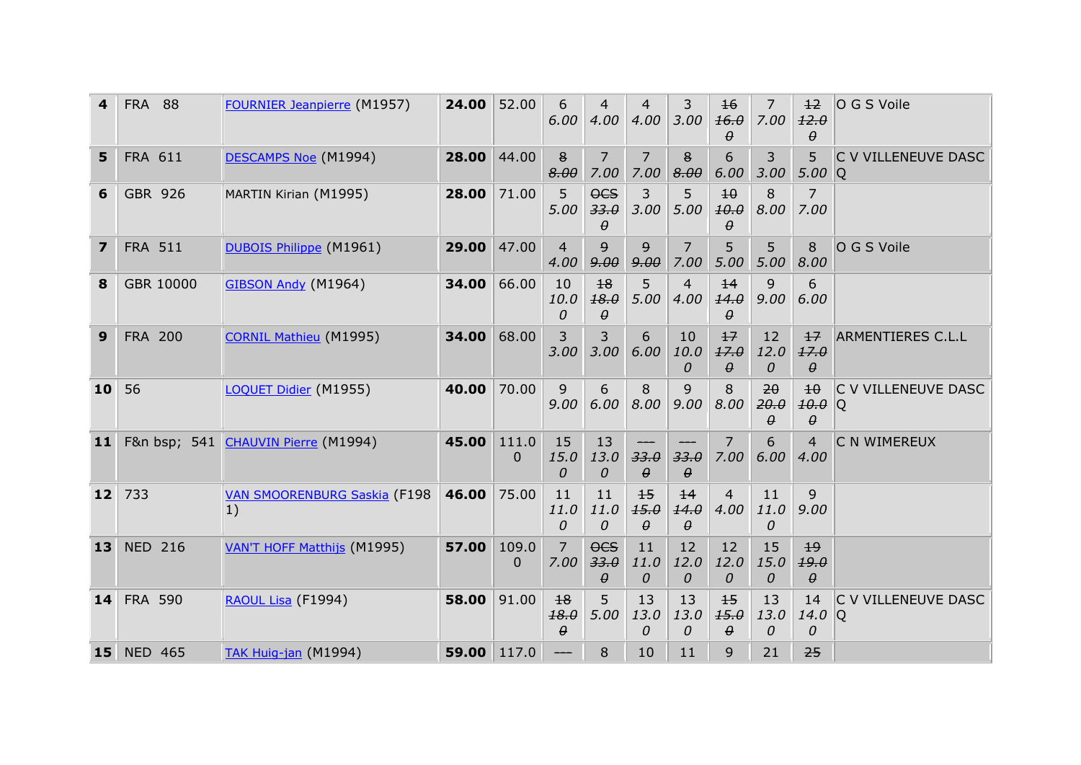| 4              | <b>FRA 88</b>  | <b>FOURNIER Jeanpierre (M1957)</b>         | 24.00       | 52.00      | 6<br>6.00              | 4<br>4.00               | $\overline{4}$<br>4.00   | 3<br>3.00              | 16<br>16.0               | 7<br>7.00              | 12<br>12.0<br>θ                 | O G S Voile               |
|----------------|----------------|--------------------------------------------|-------------|------------|------------------------|-------------------------|--------------------------|------------------------|--------------------------|------------------------|---------------------------------|---------------------------|
| 5              | <b>FRA 611</b> | DESCAMPS Noe (M1994)                       | 28.00       | 44.00      | 8<br>8.00              | 7<br>7.00               | $\overline{7}$<br>7.00   | 8<br>8.00              | 6<br>6.00                | 3<br>3.00              | 5<br>$5.00$ Q                   | C V VILLENEUVE DASC       |
| 6              | GBR 926        | MARTIN Kirian (M1995)                      | 28.00       | 71.00      | 5<br>5.00              | $0$<br>33.0<br>θ        | 3<br>3.00                | 5<br>5.00              | 10<br>10.0               | 8<br>8.00              | 7.00                            |                           |
| $\overline{7}$ | <b>FRA 511</b> | <b>DUBOIS Philippe (M1961)</b>             | 29.00       | 47.00      | $\overline{4}$<br>4.00 | $\mathbf{Q}$<br>9.00    | 9<br>9.00                | 7<br>7.00              | 5<br>5.00                | 5<br>5.00              | 8<br>8.00                       | O G S Voile               |
| 8              | GBR 10000      | <b>GIBSON Andy (M1964)</b>                 | 34.00       | 66.00      | 10<br>10.0<br>0        | 18<br>18.0<br>$\theta$  | 5<br>5.00                | 4<br>4.00              | 14<br>14.0               | 9<br>9.00              | 6<br>6.00                       |                           |
| 9              | <b>FRA 200</b> | <b>CORNIL Mathieu (M1995)</b>              | 34.00       | 68.00      | 3<br>3.00              | 3<br>3.00               | 6<br>6.00                | 10<br>10.0<br>0        | 17<br>17.0<br>$\theta$   | 12<br>12.0<br>0        | $+7$<br>17.0<br>$\theta$        | <b>ARMENTIERES C.L.L</b>  |
| 10             | 56             | LOQUET Didier (M1955)                      | 40.00       | 70.00      | 9<br>9.00              | 6<br>6.00               | 8<br>8.00                | 9<br>9.00              | 8<br>8.00                | 20<br>20.0<br>$\theta$ | 10<br>10.0<br>θ                 | C V VILLENEUVE DASC<br> Q |
| 11             |                | F&n bsp; 541 CHAUVIN Pierre (M1994)        | 45.00       | 111.0<br>0 | 15<br>15.0<br>0        | 13<br>13.0<br>$\Omega$  | 33.0<br>$\theta$         | 33.0<br>$\theta$       | $\overline{7}$<br>7.00   | 6<br>6.00              | $\overline{\mathbf{A}}$<br>4.00 | C N WIMEREUX              |
| 12             | 733            | <b>VAN SMOORENBURG Saskia (F198</b><br> 1) | 46.00       | 75.00      | 11<br>11.0<br>$\Omega$ | 11<br>11.0<br>$\Omega$  | $+5$<br>15.0<br>$\theta$ | 14<br>14.0<br>$\theta$ | $\overline{4}$<br>4.00   | 11<br>11.0<br>$\Omega$ | $\overline{9}$<br>9.00          |                           |
| 13             | <b>NED 216</b> | VAN'T HOFF Matthijs (M1995)                | 57.00       | 109.0<br>0 | 7<br>7.00              | $0$<br>33.0<br>$\theta$ | 11<br>11.0<br>0          | 12<br>12.0<br>0        | 12<br>12.0<br>0          | 15<br>15.0<br>0        | 19<br>19.0<br>$\theta$          |                           |
| 14             | <b>FRA 590</b> | RAOUL Lisa (F1994)                         | 58.00       | 91.00      | 18<br>18.0<br>$\theta$ | 5<br>5.00               | 13<br>13.0<br>0          | 13<br>13.0<br>0        | $+5$<br>15.0<br>$\theta$ | 13<br>13.0<br>$\theta$ | 14<br>$14.0$ Q<br>0             | C V VILLENEUVE DASC       |
|                | 15 NED 465     | TAK Huig-jan (M1994)                       | 59.00 117.0 |            |                        | 8                       | 10                       | 11                     | 9                        | 21                     | 25                              |                           |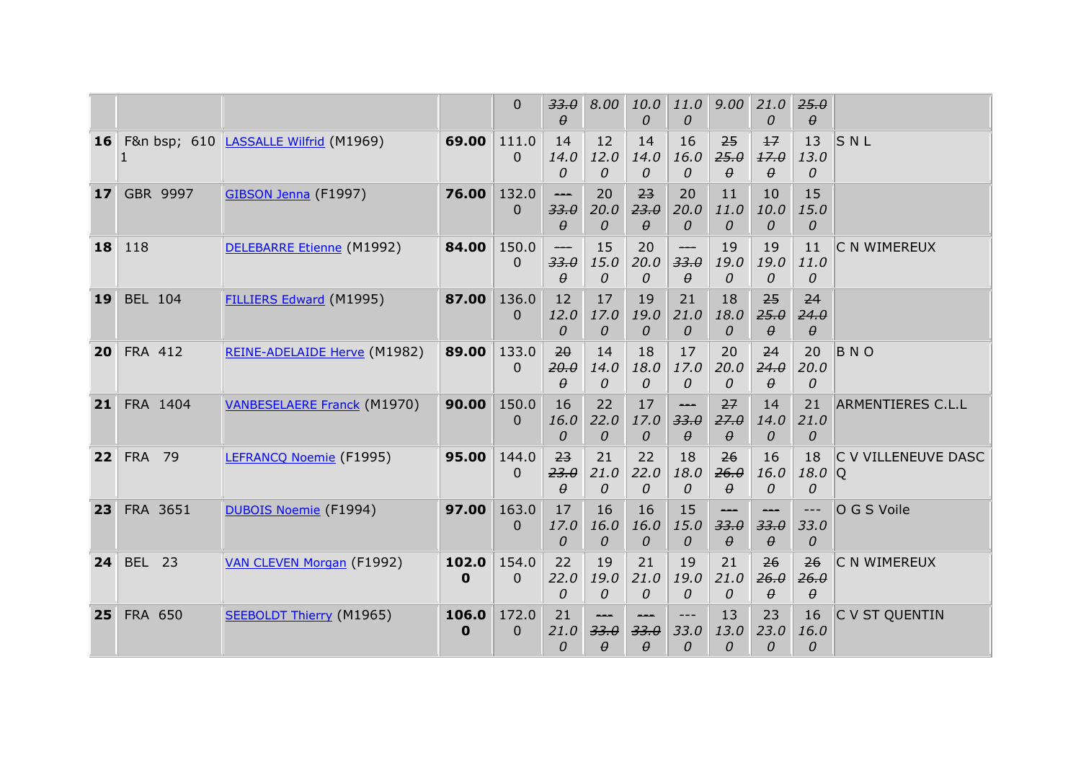|    |                |                                        |                      | $\mathbf{0}$            | 33.0<br>$\theta$              | 8.00                   | 10.0<br>$\Omega$       | 11.0<br>$\Omega$                                  | 9.00                   | 21.0<br>0              | 25.0<br>θ              |                          |
|----|----------------|----------------------------------------|----------------------|-------------------------|-------------------------------|------------------------|------------------------|---------------------------------------------------|------------------------|------------------------|------------------------|--------------------------|
| 16 |                | F&n bsp; 610  LASSALLE Wilfrid (M1969) | 69.00                | 111.0<br>$\Omega$       | 14<br>14.0<br>$\Omega$        | 12<br>12.0<br>$\Omega$ | 14<br>14.0<br>0        | 16<br>16.0<br>0                                   | 25<br>25.0<br>$\theta$ | 17<br>17.0<br>$\theta$ | 13<br>13.0<br>0        | SNL                      |
| 17 | GBR 9997       | GIBSON Jenna (F1997)                   | 76.00                | 132.0<br>$\overline{0}$ | 33.0<br>$\theta$              | 20<br>20.0<br>0        | 23<br>23.0<br>$\theta$ | 20<br>20.0<br>0                                   | 11<br>11.0<br>0        | 10<br>10.0<br>$\theta$ | 15<br>15.0<br>0        |                          |
| 18 | 118            | DELEBARRE Etienne (M1992)              | 84.00                | 150.0<br>$\Omega$       | 33.0<br>$\theta$              | 15<br>15.0<br>$\Omega$ | 20<br>20.0<br>$\Omega$ | 33.0<br>$\theta$                                  | 19<br>19.0<br>0        | 19<br>19.0<br>$\Omega$ | 11<br>11.0<br>0        | C N WIMEREUX             |
| 19 | <b>BEL 104</b> | <b>FILLIERS Edward (M1995)</b>         | 87.00                | 136.0<br>$\Omega$       | 12<br>12.0<br>$\Omega$        | 17<br>17.0<br>$\Omega$ | 19<br>19.0<br>$\Omega$ | 21<br>21.0<br>$\theta$                            | 18<br>18.0<br>0        | 25<br>25.0<br>$\theta$ | 24<br>24.0<br>$\theta$ |                          |
| 20 | <b>FRA 412</b> | <b>REINE-ADELAIDE Herve (M1982)</b>    | 89.00                | 133.0<br>$\overline{0}$ | <b>20</b><br>20.0<br>$\theta$ | 14<br>14.0<br>$\Omega$ | 18<br>18.0<br>0        | 17<br>17.0<br>0                                   | 20<br>20.0<br>0        | 24<br>24.0<br>$\theta$ | 20<br>20.0<br>0        | <b>BNO</b>               |
| 21 | FRA 1404       | <b>VANBESELAERE Franck (M1970)</b>     | 90.00                | 150.0<br>$\Omega$       | 16<br>16.0<br>$\Omega$        | 22<br>22.0<br>$\theta$ | 17<br>17.0<br>0        | $\overbrace{\phantom{aaaaa}}$<br>33.0<br>$\theta$ | 27<br>27.0<br>$\theta$ | 14<br>14.0<br>0        | 21<br>21.0<br>0        | <b>ARMENTIERES C.L.L</b> |
| 22 | <b>FRA 79</b>  | LEFRANCQ Noemie (F1995)                | 95.00                | 144.0<br>$\Omega$       | 23<br>23.0<br>$\theta$        | 21<br>21.0<br>0        | 22<br>22.0<br>0        | 18<br>18.0<br>0                                   | 26<br>26.0<br>θ        | 16<br>16.0<br>0        | 18<br>18.0 $ Q $<br>0  | C V VILLENEUVE DASC      |
| 23 | FRA 3651       | DUBOIS Noemie (F1994)                  | 97.00                | 163.0<br>$\Omega$       | 17<br>17.0<br>$\Omega$        | 16<br>16.0<br>0        | 16<br>16.0<br>$\theta$ | 15<br>15.0<br>$\theta$                            | 33.0<br>$\theta$       | 33.0<br>$\theta$       | $---$<br>33.0<br>0     | O G S Voile              |
| 24 | <b>BEL 23</b>  | VAN CLEVEN Morgan (F1992)              | 102.0<br>$\bf{0}$    | 154.0<br>$\Omega$       | 22<br>22.0<br>$\Omega$        | 19<br>19.0<br>$\Omega$ | 21<br>21.0<br>0        | 19<br>19.0<br>0                                   | 21<br>21.0<br>0        | 26<br>26.0<br>$\theta$ | 26<br>26.0<br>θ        | C N WIMEREUX             |
| 25 | FRA 650        | <b>SEEBOLDT Thierry (M1965)</b>        | 106.0<br>$\mathbf 0$ | 172.0<br>0              | 21<br>21.0<br>0               | 33.0<br>$\theta$       | 33.0<br>$\theta$       | $---$<br>33.0<br>0                                | 13<br>13.0<br>0        | 23<br>23.0<br>0        | 16<br>16.0<br>0        | C V ST QUENTIN           |